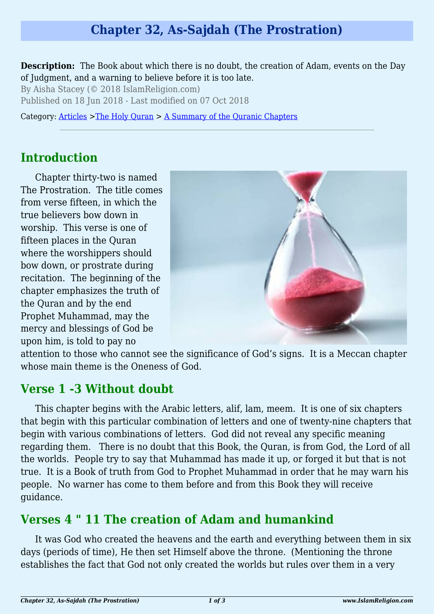# **Chapter 32, As-Sajdah (The Prostration)**

**Description:** The Book about which there is no doubt, the creation of Adam, events on the Day of Judgment, and a warning to believe before it is too late.

By Aisha Stacey (© 2018 IslamReligion.com)

Published on 18 Jun 2018 - Last modified on 07 Oct 2018

Category: [Articles](http://www.islamreligion.com/articles/) >[The Holy Quran](http://www.islamreligion.com/category/75/) > [A Summary of the Quranic Chapters](http://www.islamreligion.com/category/77/)

#### **Introduction**

Chapter thirty-two is named The Prostration. The title comes from verse fifteen, in which the true believers bow down in worship. This verse is one of fifteen places in the Quran where the worshippers should bow down, or prostrate during recitation. The beginning of the chapter emphasizes the truth of the Quran and by the end Prophet Muhammad, may the mercy and blessings of God be upon him, is told to pay no



attention to those who cannot see the significance of God's signs. It is a Meccan chapter whose main theme is the Oneness of God.

### **Verse 1 -3 Without doubt**

This chapter begins with the Arabic letters, alif, lam, meem. It is one of six chapters that begin with this particular combination of letters and one of twenty-nine chapters that begin with various combinations of letters. God did not reveal any specific meaning regarding them. There is no doubt that this Book, the Quran, is from God, the Lord of all the worlds. People try to say that Muhammad has made it up, or forged it but that is not true. It is a Book of truth from God to Prophet Muhammad in order that he may warn his people. No warner has come to them before and from this Book they will receive guidance.

# **Verses 4 " 11 The creation of Adam and humankind**

It was God who created the heavens and the earth and everything between them in six days (periods of time), He then set Himself above the throne. (Mentioning the throne establishes the fact that God not only created the worlds but rules over them in a very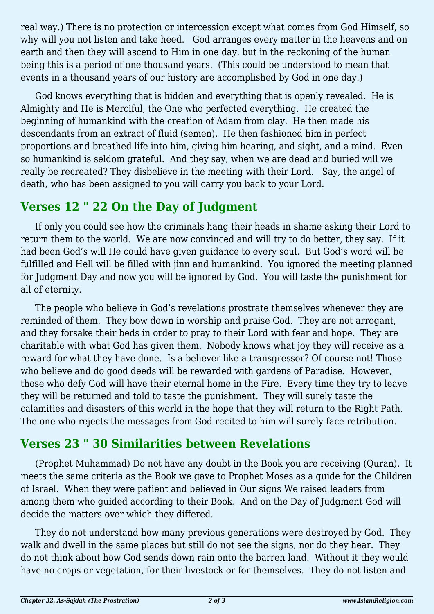real way.) There is no protection or intercession except what comes from God Himself, so why will you not listen and take heed. God arranges every matter in the heavens and on earth and then they will ascend to Him in one day, but in the reckoning of the human being this is a period of one thousand years. (This could be understood to mean that events in a thousand years of our history are accomplished by God in one day.)

God knows everything that is hidden and everything that is openly revealed. He is Almighty and He is Merciful, the One who perfected everything. He created the beginning of humankind with the creation of Adam from clay. He then made his descendants from an extract of fluid (semen). He then fashioned him in perfect proportions and breathed life into him, giving him hearing, and sight, and a mind. Even so humankind is seldom grateful. And they say, when we are dead and buried will we really be recreated? They disbelieve in the meeting with their Lord. Say, the angel of death, who has been assigned to you will carry you back to your Lord.

### **Verses 12 " 22 On the Day of Judgment**

If only you could see how the criminals hang their heads in shame asking their Lord to return them to the world. We are now convinced and will try to do better, they say. If it had been God's will He could have given guidance to every soul. But God's word will be fulfilled and Hell will be filled with jinn and humankind. You ignored the meeting planned for Judgment Day and now you will be ignored by God. You will taste the punishment for all of eternity.

The people who believe in God's revelations prostrate themselves whenever they are reminded of them. They bow down in worship and praise God. They are not arrogant, and they forsake their beds in order to pray to their Lord with fear and hope. They are charitable with what God has given them. Nobody knows what joy they will receive as a reward for what they have done. Is a believer like a transgressor? Of course not! Those who believe and do good deeds will be rewarded with gardens of Paradise. However, those who defy God will have their eternal home in the Fire. Every time they try to leave they will be returned and told to taste the punishment. They will surely taste the calamities and disasters of this world in the hope that they will return to the Right Path. The one who rejects the messages from God recited to him will surely face retribution.

# **Verses 23 " 30 Similarities between Revelations**

(Prophet Muhammad) Do not have any doubt in the Book you are receiving (Quran). It meets the same criteria as the Book we gave to Prophet Moses as a guide for the Children of Israel. When they were patient and believed in Our signs We raised leaders from among them who guided according to their Book. And on the Day of Judgment God will decide the matters over which they differed.

They do not understand how many previous generations were destroyed by God. They walk and dwell in the same places but still do not see the signs, nor do they hear. They do not think about how God sends down rain onto the barren land. Without it they would have no crops or vegetation, for their livestock or for themselves. They do not listen and